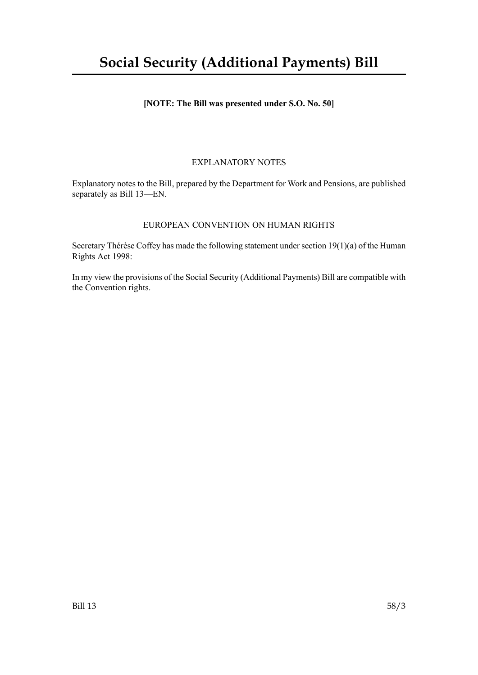# **Social Security (Additional Payments) Bill**

# **[NOTE: The Bill was presented under S.O. No. 50]**

# EXPLANATORY NOTES

Explanatory notes to the Bill, prepared by the Department for Work and Pensions, are published separately as Bill 13—EN.

## EUROPEAN CONVENTION ON HUMAN RIGHTS

Secretary Thérèse Coffey has made the following statement under section  $19(1)(a)$  of the Human Rights Act 1998:

In my view the provisions of the Social Security (Additional Payments) Bill are compatible with the Convention rights.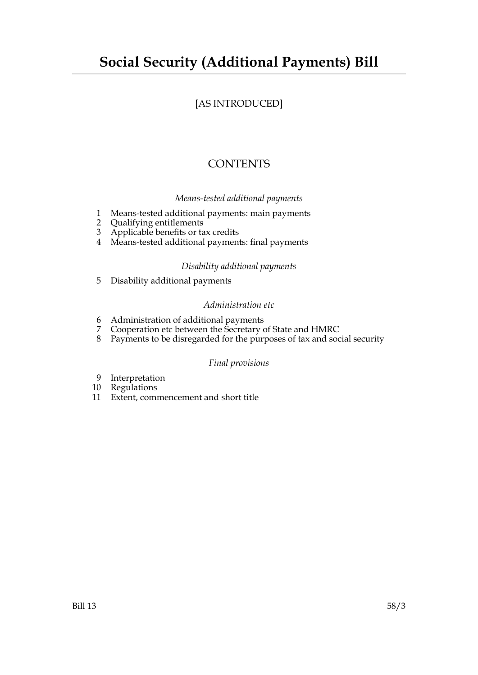# **Social Security (Additional Payments) Bill**

# [AS INTRODUCED]

# **CONTENTS**

# *Means-tested additional payments*

- 1 Means-tested additional payments: main payments
- 2 Qualifying entitlements
- 3 Applicable benefits or tax credits
- 4 Means-tested additional payments: final payments

# *Disability additional payments*

5 Disability additional payments

# *Administration etc*

- 6 Administration of additional payments
- 7 Cooperation etc between the Secretary of State and HMRC
- 8 Payments to be disregarded for the purposes of tax and social security

## *Final provisions*

- 9 Interpretation
- 10 Regulations
- 11 Extent, commencement and short title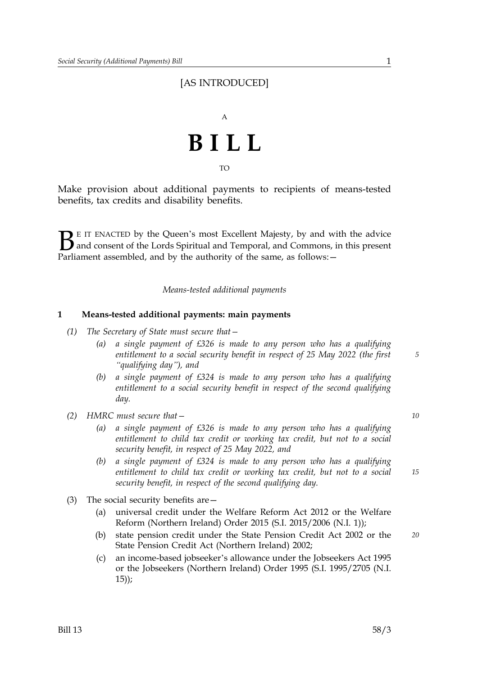# [AS INTRODUCED]



TO

Make provision about additional payments to recipients of means-tested benefits, tax credits and disability benefits.

 $\sum$  E IT ENACTED by the Queen's most Excellent Majesty, by and with the advice<br>and consent of the Lords Spiritual and Temporal, and Commons, in this present<br>Parliament assembled, and by the authority of the same as follo and consent of the Lords Spiritual and Temporal, and Commons, in this present Parliament assembled, and by the authority of the same, as follows: -

*Means-tested additional payments* 

## **1 Means-tested additional payments: main payments**

- *(1) The Secretary of State must secure that* 
	- *a single payment of £326 is made to any person who has a qualifying (a) entitlement to a social security benefit in respect of 25 May 2022 (the first "qualifying day"), and*
	- *a single payment of £324 is made to any person who has a qualifying (b) entitlement to a social security benefit in respect of the second qualifying day.*
- *(2) HMRC must secure that— 10*
	- *a single payment of £326 is made to any person who has a qualifying (a) entitlement to child tax credit or working tax credit, but not to a social security benefit, in respect of 25 May 2022, and*
	- *a single payment of £324 is made to any person who has a qualifying entitlement to child tax credit or working tax credit, but not to a social security benefit, in respect of the second qualifying day. (b)*
- (3) The social security benefits are
	- universal credit under the Welfare Reform Act 2012 or the Welfare Reform (Northern Ireland) Order 2015 (S.I. 2015/2006 (N.I. 1)); (a)
	- state pension credit under the State Pension Credit Act 2002 or the *20* State Pension Credit Act (Northern Ireland) 2002; (b)
	- an income-based jobseeker's allowance under the Jobseekers Act 1995 or the Jobseekers (Northern Ireland) Order 1995 (S.I. 1995/2705 (N.I. 15));  $(c)$

*15*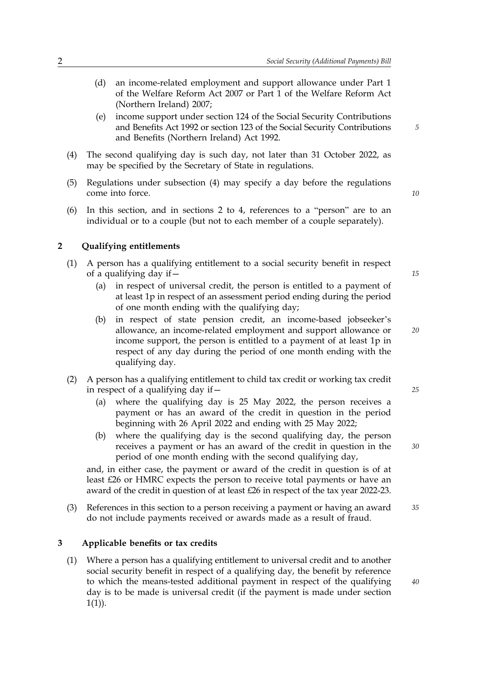- an income-related employment and support allowance under Part 1 (d) of the Welfare Reform Act 2007 or Part 1 of the Welfare Reform Act (Northern Ireland) 2007;
- income support under section 124 of the Social Security Contributions and Benefits Act 1992 or section 123 of the Social Security Contributions and Benefits (Northern Ireland) Act 1992. (e)
- The second qualifying day is such day, not later than 31 October 2022, as (4) may be specified by the Secretary of State in regulations.
- Regulations under subsection (4) may specify a day before the regulations come into force. (5)
- In this section, and in sections 2 to 4, references to a "person" are to an individual or to a couple (but not to each member of a couple separately). (6)

#### **2 Qualifying entitlements**

- A person has a qualifying entitlement to a social security benefit in respect of a qualifying day if— (1)
	- in respect of universal credit, the person is entitled to a payment of at least 1p in respect of an assessment period ending during the period of one month ending with the qualifying day; (a)
	- in respect of state pension credit, an income-based jobseeker's allowance, an income-related employment and support allowance or (b) income support, the person is entitled to a payment of at least 1p in respect of any day during the period of one month ending with the qualifying day.
- A person has a qualifying entitlement to child tax credit or working tax credit in respect of a qualifying day if— (2)
	- where the qualifying day is 25 May 2022, the person receives a (a) payment or has an award of the credit in question in the period beginning with 26 April 2022 and ending with 25 May 2022;
	- where the qualifying day is the second qualifying day, the person (b) receives a payment or has an award of the credit in question in the period of one month ending with the second qualifying day,

and, in either case, the payment or award of the credit in question is of at least £26 or HMRC expects the person to receive total payments or have an award of the credit in question of at least £26 in respect of the tax year 2022-23.

References in this section to a person receiving a payment or having an award *35* (3) do not include payments received or awards made as a result of fraud.

#### **3 Applicable benefits or tax credits**

Where a person has a qualifying entitlement to universal credit and to another (1) social security benefit in respect of a qualifying day, the benefit by reference to which the means-tested additional payment in respect of the qualifying day is to be made is universal credit (if the payment is made under section  $1(1)$ ).

*20*

*15*

*5*

*10*

*25*

*30*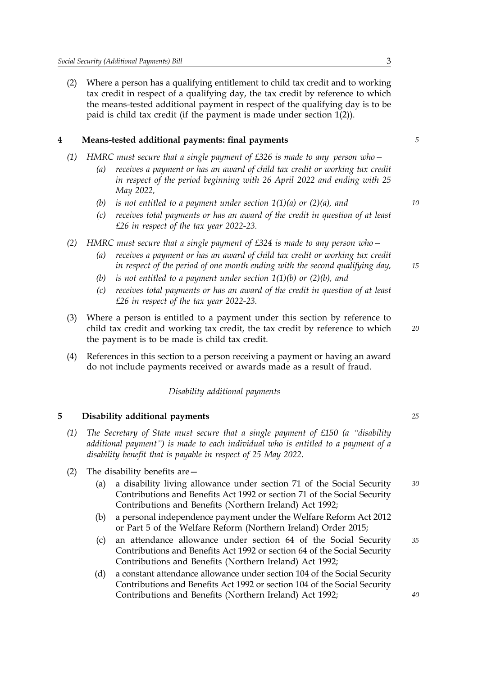Where a person has a qualifying entitlement to child tax credit and to working tax credit in respect of a qualifying day, the tax credit by reference to which (2) the means-tested additional payment in respect of the qualifying day is to be paid is child tax credit (if the payment is made under section 1(2)).

# **4 Means-tested additional payments: final payments** *5*

- *(1) HMRC must secure that a single payment of £326 is made to any person who* 
	- *receives a payment or has an award of child tax credit or working tax credit (a) in respect of the period beginning with 26 April 2022 and ending with 25 May 2022,*
	- *(b) is not entitled to a payment under section 1(1)(a) or (2)(a), and 10*
	- *receives total payments or has an award of the credit in question of at least (c) £26 in respect of the tax year 2022-23.*
- *(2) HMRC must secure that a single payment of £324 is made to any person who* 
	- *receives a payment or has an award of child tax credit or working tax credit (a) in respect of the period of one month ending with the second qualifying day,*
	- *(b) is not entitled to a payment under section 1(1)(b) or (2)(b), and*
	- *receives total payments or has an award of the credit in question of at least (c) £26 in respect of the tax year 2022-23.*
- Where a person is entitled to a payment under this section by reference to (3) child tax credit and working tax credit, the tax credit by reference to which the payment is to be made is child tax credit.
- References in this section to a person receiving a payment or having an award do not include payments received or awards made as a result of fraud. (4)

#### *Disability additional payments*

### **5 Disability additional payments** *25*

- *The Secretary of State must secure that a single payment of £150 (a "disability (1) additional payment") is made to each individual who is entitled to a payment of a disability benefit that is payable in respect of 25 May 2022.*
- (2) The disability benefits are
	- a disability living allowance under section 71 of the Social Security *30* Contributions and Benefits Act 1992 or section 71 of the Social Security Contributions and Benefits (Northern Ireland) Act 1992; (a)
	- a personal independence payment under the Welfare Reform Act 2012 or Part 5 of the Welfare Reform (Northern Ireland) Order 2015; (b)
	- an attendance allowance under section 64 of the Social Security *35* Contributions and Benefits Act 1992 or section 64 of the Social Security Contributions and Benefits (Northern Ireland) Act 1992; (c)
	- a constant attendance allowance under section 104 of the Social Security Contributions and Benefits Act 1992 or section 104 of the Social Security Contributions and Benefits (Northern Ireland) Act 1992; (d)

*15*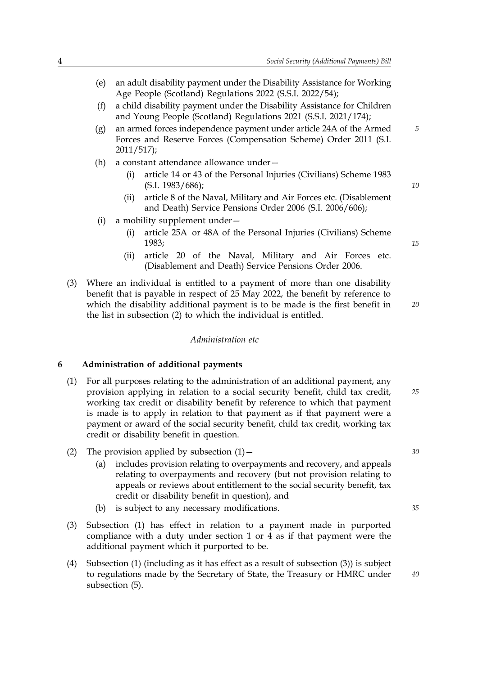- an adult disability payment under the Disability Assistance for Working (e) Age People (Scotland) Regulations 2022 (S.S.I. 2022/54);
- a child disability payment under the Disability Assistance for Children and Young People (Scotland) Regulations 2021 (S.S.I. 2021/174); (f)
- an armed forces independence payment under article 24A of the Armed *5* Forces and Reserve Forces (Compensation Scheme) Order 2011 (S.I. 2011/517); (g)
- (h) a constant attendance allowance under
	- article 14 or 43 of the Personal Injuries (Civilians) Scheme 1983 (S.I. 1983/686); (i)
	- article 8 of the Naval, Military and Air Forces etc. (Disablement and Death) Service Pensions Order 2006 (S.I. 2006/606); (ii)
- (i) a mobility supplement under
	- article 25A or 48A of the Personal Injuries (Civilians) Scheme 1983; (i)
	- article 20 of the Naval, Military and Air Forces etc. (Disablement and Death) Service Pensions Order 2006. (ii)
- Where an individual is entitled to a payment of more than one disability (3) benefit that is payable in respect of 25 May 2022, the benefit by reference to which the disability additional payment is to be made is the first benefit in the list in subsection (2) to which the individual is entitled.

*Administration etc* 

#### **6 Administration of additional payments**

- For all purposes relating to the administration of an additional payment, any (1) provision applying in relation to a social security benefit, child tax credit, working tax credit or disability benefit by reference to which that payment is made is to apply in relation to that payment as if that payment were a payment or award of the social security benefit, child tax credit, working tax credit or disability benefit in question.
- (2) The provision applied by subsection (1)— *30*
	- includes provision relating to overpayments and recovery, and appeals relating to overpayments and recovery (but not provision relating to (a) appeals or reviews about entitlement to the social security benefit, tax credit or disability benefit in question), and
	- (b) is subject to any necessary modifications. *35*
- Subsection (1) has effect in relation to a payment made in purported (3) compliance with a duty under section 1 or 4 as if that payment were the additional payment which it purported to be.
- Subsection (1) (including as it has effect as a result of subsection (3)) is subject to regulations made by the Secretary of State, the Treasury or HMRC under subsection (5). (4)

*20*

*10*

*15*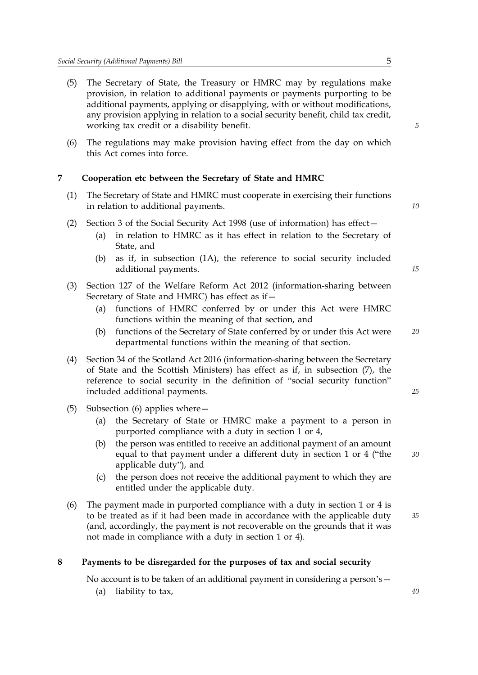- The Secretary of State, the Treasury or HMRC may by regulations make provision, in relation to additional payments or payments purporting to be (5) additional payments, applying or disapplying, with or without modifications, any provision applying in relation to a social security benefit, child tax credit, working tax credit or a disability benefit.
- The regulations may make provision having effect from the day on which this Act comes into force. (6)

# **7 Cooperation etc between the Secretary of State and HMRC**

- The Secretary of State and HMRC must cooperate in exercising their functions (1) in relation to additional payments.
- (2) Section 3 of the Social Security Act 1998 (use of information) has effect
	- in relation to HMRC as it has effect in relation to the Secretary of State, and (a)
	- as if, in subsection (1A), the reference to social security included (b) additional payments.
- Section 127 of the Welfare Reform Act 2012 (information-sharing between (3) Secretary of State and HMRC) has effect as if
	- functions of HMRC conferred by or under this Act were HMRC (a) functions within the meaning of that section, and
	- functions of the Secretary of State conferred by or under this Act were *20* (b) departmental functions within the meaning of that section.
- Section 34 of the Scotland Act 2016 (information-sharing between the Secretary (4) of State and the Scottish Ministers) has effect as if, in subsection (7), the reference to social security in the definition of "social security function" included additional payments.
- (5) Subsection (6) applies where
	- the Secretary of State or HMRC make a payment to a person in purported compliance with a duty in section 1 or 4, (a)
	- the person was entitled to receive an additional payment of an amount equal to that payment under a different duty in section 1 or 4 ("the applicable duty"), and (b)
	- the person does not receive the additional payment to which they are entitled under the applicable duty. (c)
- The payment made in purported compliance with a duty in section 1 or 4 is (6) to be treated as if it had been made in accordance with the applicable duty (and, accordingly, the payment is not recoverable on the grounds that it was not made in compliance with a duty in section 1 or 4).

## **8 Payments to be disregarded for the purposes of tax and social security**

No account is to be taken of an additional payment in considering a person's—

(a) liability to tax, *40*

*10*

*15*

*25*

*30*

*35*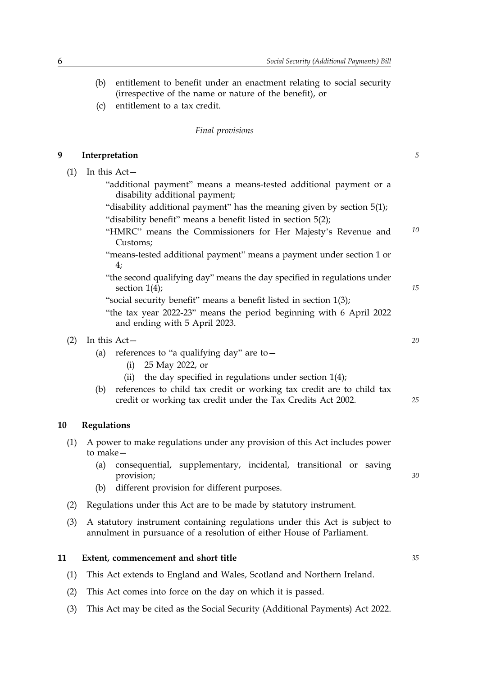- (b) entitlement to benefit under an enactment relating to social security (irrespective of the name or nature of the benefit), or
- (c) entitlement to a tax credit.

#### *Final provisions*

#### **9 Interpretation** *5*

- $(1)$  In this Act-
	- "additional payment" means a means-tested additional payment or a disability additional payment;
	- "disability additional payment" has the meaning given by section 5(1); "disability benefit" means a benefit listed in section 5(2);
	- *10* "HMRC" means the Commissioners for Her Majesty's Revenue and Customs;
	- "means-tested additional payment" means a payment under section 1 or 4;
	- "the second qualifying day" means the day specified in regulations under section  $1(4)$ ;
	- "social security benefit" means a benefit listed in section 1(3);
	- "the tax year 2022-23" means the period beginning with 6 April 2022 and ending with 5 April 2023.

# (2) In this Act— *20*

- (a) references to "a qualifying day" are to  $-$ 
	- (i) 25 May 2022, or
	- (ii) the day specified in regulations under section  $1(4)$ ;
- references to child tax credit or working tax credit are to child tax (b) credit or working tax credit under the Tax Credits Act 2002.

#### **10 Regulations**

- A power to make regulations under any provision of this Act includes power (1) to make
	- consequential, supplementary, incidental, transitional or saving (a) provision;
	- (b) different provision for different purposes.
- (2) Regulations under this Act are to be made by statutory instrument.
- A statutory instrument containing regulations under this Act is subject to annulment in pursuance of a resolution of either House of Parliament. (3)

#### **11 Extent, commencement and short title** *35*

- (1) This Act extends to England and Wales, Scotland and Northern Ireland.
- (2) This Act comes into force on the day on which it is passed.
- (3) This Act may be cited as the Social Security (Additional Payments) Act 2022.

*25*

*30*